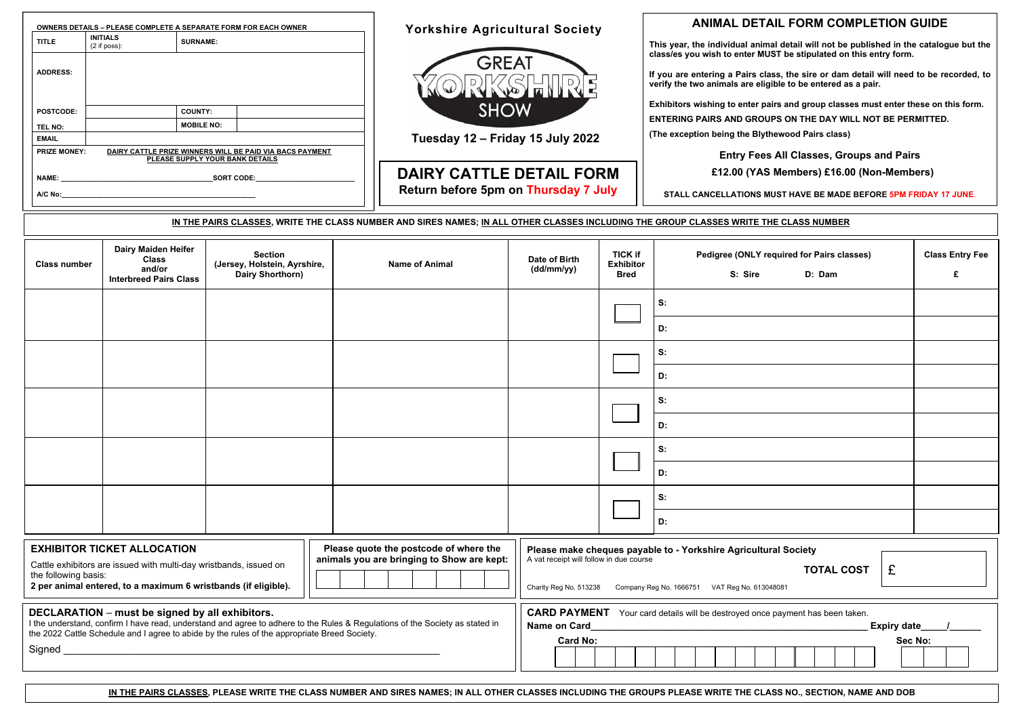**DAIRY CATTLE DETAIL FORM Return before 5pm on Thursday 7 July**

**This year, the individual animal detail will not be published in the catalogue but the class/es you wish to enter MUST be stipulated on this entry form.** 

**If you are entering a Pairs class, the sire or dam detail will need to be recorded, to verify the two animals are eligible to be entered as a pair.** 

**Exhibitors wishing to enter pairs and group classes must enter these on this form.** 

**ENTERING PAIRS AND GROUPS ON THE DAY WILL NOT BE PERMITTED.** 

**(The exception being the Blythewood Pairs class)** 

**Entry Fees All Classes, Groups and Pairs** 

| <b>ASS NO., SECTION, NAME AND DOB</b> |  |  |
|---------------------------------------|--|--|
|                                       |  |  |

 **£12.00 (YAS Members) £16.00 (Non-Members)** 

**STALL CANCELLATIONS MUST HAVE BE MADE BEFORE 5PM FRIDAY 17 JUNE**.

| IN THE PAIRS CLASSES, WRITE THE CLASS NUMBER AND SIRES NAMES; IN ALL OTHER CLASSES INCLUDING THE GROUP CLASSES WRITE THE CLASS NUMBER                                                                                                                                                       |                                                                                       |                                                                                                                                                                                                                 |                       |                             |                                                   |                                                                 |                             |
|---------------------------------------------------------------------------------------------------------------------------------------------------------------------------------------------------------------------------------------------------------------------------------------------|---------------------------------------------------------------------------------------|-----------------------------------------------------------------------------------------------------------------------------------------------------------------------------------------------------------------|-----------------------|-----------------------------|---------------------------------------------------|-----------------------------------------------------------------|-----------------------------|
| <b>Class number</b>                                                                                                                                                                                                                                                                         | <b>Dairy Maiden Heifer</b><br><b>Class</b><br>and/or<br><b>Interbreed Pairs Class</b> | <b>Section</b><br>(Jersey, Holstein, Ayrshire,<br>Dairy Shorthorn)                                                                                                                                              | <b>Name of Animal</b> | Date of Birth<br>(dd/mm/yy) | <b>TICK if</b><br><b>Exhibitor</b><br><b>Bred</b> | Pedigree (ONLY required for Pairs classes)<br>S: Sire<br>D: Dam | <b>Class Entry Fee</b><br>£ |
|                                                                                                                                                                                                                                                                                             |                                                                                       |                                                                                                                                                                                                                 |                       |                             |                                                   | S:<br>D:                                                        |                             |
|                                                                                                                                                                                                                                                                                             |                                                                                       |                                                                                                                                                                                                                 |                       |                             |                                                   | S:<br>D:                                                        |                             |
|                                                                                                                                                                                                                                                                                             |                                                                                       |                                                                                                                                                                                                                 |                       |                             |                                                   | S:<br>D:                                                        |                             |
|                                                                                                                                                                                                                                                                                             |                                                                                       |                                                                                                                                                                                                                 |                       |                             |                                                   | S:<br>D:                                                        |                             |
|                                                                                                                                                                                                                                                                                             |                                                                                       |                                                                                                                                                                                                                 |                       |                             |                                                   | S:<br>D:                                                        |                             |
| Please quote the postcode of where the<br><b>EXHIBITOR TICKET ALLOCATION</b><br>animals you are bringing to Show are kept:<br>Cattle exhibitors are issued with multi-day wristbands, issued on<br>the following basis:<br>2 per animal entered, to a maximum 6 wristbands (if eligible).   |                                                                                       | Please make cheques payable to - Yorkshire Agricultural Society<br>A vat receipt will follow in due course<br>£<br><b>TOTAL COST</b><br>Charity Reg No. 513238<br>Company Reg No. 1666751 VAT Reg No. 613048081 |                       |                             |                                                   |                                                                 |                             |
| DECLARATION - must be signed by all exhibitors.<br>I the understand, confirm I have read, understand and agree to adhere to the Rules & Regulations of the Society as stated in<br>the 2022 Cattle Schedule and I agree to abide by the rules of the appropriate Breed Society.<br>Signed _ |                                                                                       | <b>CARD PAYMENT</b> Your card details will be destroyed once payment has been taken.<br>Name on Card<br>Expiry date<br><u> 1989 - Johann Barbara, martin amerikan ba</u><br><b>Card No:</b><br>Sec No:          |                       |                             |                                                   |                                                                 |                             |

IN THE PAIRS CLASSES, PLEASE WRITE THE CLASS NUMBER AND SIRES NAMES; IN ALL OTHER CLASSES INCLUDING THE GROUPS PLEASE WRITE THE CLA

## Yorkshire Agricultural Society **ANIMAL DETAIL FORM COMPLETION GUIDE**

| <b>TITLE</b>        | <b>INITIALS</b><br>$(2 \text{ if } \text{poss})$ : | <b>SURNAME:</b>                                                                             |  |
|---------------------|----------------------------------------------------|---------------------------------------------------------------------------------------------|--|
| <b>ADDRESS:</b>     |                                                    |                                                                                             |  |
|                     |                                                    |                                                                                             |  |
| <b>POSTCODE:</b>    |                                                    | <b>COUNTY:</b>                                                                              |  |
| <b>TEL NO:</b>      |                                                    | <b>MOBILE NO:</b>                                                                           |  |
| <b>EMAIL</b>        |                                                    |                                                                                             |  |
| <b>PRIZE MONEY:</b> |                                                    | DAIRY CATTLE PRIZE WINNERS WILL BE PAID VIA BACS PAYMENT<br>PLEASE SUPPLY YOUR BANK DETAILS |  |
| <b>NAME:</b>        |                                                    | <b>SORT CODE:</b>                                                                           |  |
|                     |                                                    |                                                                                             |  |



**Tuesday 12 – Friday 15 July 2022**